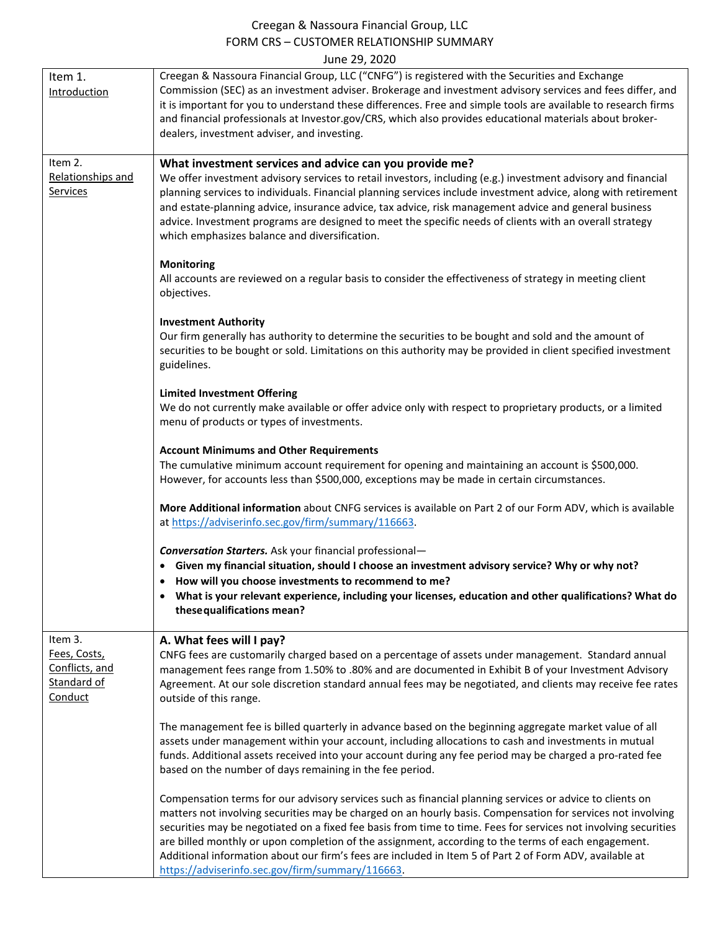## Creegan & Nassoura Financial Group, LLC FORM CRS – CUSTOMER RELATIONSHIP SUMMARY  $J_{11}$  $\mu$  2020  $J_{11}$

| June 29, 2020                                            |                                                                                                                                                                                                                                                                                                                                                                                                                                                                                                                                                                                                                  |  |
|----------------------------------------------------------|------------------------------------------------------------------------------------------------------------------------------------------------------------------------------------------------------------------------------------------------------------------------------------------------------------------------------------------------------------------------------------------------------------------------------------------------------------------------------------------------------------------------------------------------------------------------------------------------------------------|--|
| Item 1.<br>Introduction                                  | Creegan & Nassoura Financial Group, LLC ("CNFG") is registered with the Securities and Exchange<br>Commission (SEC) as an investment adviser. Brokerage and investment advisory services and fees differ, and<br>it is important for you to understand these differences. Free and simple tools are available to research firms<br>and financial professionals at Investor.gov/CRS, which also provides educational materials about broker-<br>dealers, investment adviser, and investing.                                                                                                                       |  |
| Item 2.                                                  | What investment services and advice can you provide me?                                                                                                                                                                                                                                                                                                                                                                                                                                                                                                                                                          |  |
| Relationships and<br>Services                            | We offer investment advisory services to retail investors, including (e.g.) investment advisory and financial<br>planning services to individuals. Financial planning services include investment advice, along with retirement<br>and estate-planning advice, insurance advice, tax advice, risk management advice and general business<br>advice. Investment programs are designed to meet the specific needs of clients with an overall strategy<br>which emphasizes balance and diversification.                                                                                                             |  |
|                                                          | <b>Monitoring</b><br>All accounts are reviewed on a regular basis to consider the effectiveness of strategy in meeting client<br>objectives.                                                                                                                                                                                                                                                                                                                                                                                                                                                                     |  |
|                                                          | <b>Investment Authority</b><br>Our firm generally has authority to determine the securities to be bought and sold and the amount of<br>securities to be bought or sold. Limitations on this authority may be provided in client specified investment<br>guidelines.                                                                                                                                                                                                                                                                                                                                              |  |
|                                                          | <b>Limited Investment Offering</b><br>We do not currently make available or offer advice only with respect to proprietary products, or a limited<br>menu of products or types of investments.                                                                                                                                                                                                                                                                                                                                                                                                                    |  |
|                                                          | <b>Account Minimums and Other Requirements</b><br>The cumulative minimum account requirement for opening and maintaining an account is \$500,000.<br>However, for accounts less than \$500,000, exceptions may be made in certain circumstances.                                                                                                                                                                                                                                                                                                                                                                 |  |
|                                                          | More Additional information about CNFG services is available on Part 2 of our Form ADV, which is available<br>at https://adviserinfo.sec.gov/firm/summary/116663.                                                                                                                                                                                                                                                                                                                                                                                                                                                |  |
|                                                          | <b>Conversation Starters.</b> Ask your financial professional-<br>• Given my financial situation, should I choose an investment advisory service? Why or why not?<br>How will you choose investments to recommend to me?<br>• What is your relevant experience, including your licenses, education and other qualifications? What do<br>these qualifications mean?                                                                                                                                                                                                                                               |  |
| Item 3.                                                  | A. What fees will I pay?                                                                                                                                                                                                                                                                                                                                                                                                                                                                                                                                                                                         |  |
| Fees, Costs,<br>Conflicts, and<br>Standard of<br>Conduct | CNFG fees are customarily charged based on a percentage of assets under management. Standard annual<br>management fees range from 1.50% to .80% and are documented in Exhibit B of your Investment Advisory<br>Agreement. At our sole discretion standard annual fees may be negotiated, and clients may receive fee rates<br>outside of this range.                                                                                                                                                                                                                                                             |  |
|                                                          | The management fee is billed quarterly in advance based on the beginning aggregate market value of all<br>assets under management within your account, including allocations to cash and investments in mutual<br>funds. Additional assets received into your account during any fee period may be charged a pro-rated fee<br>based on the number of days remaining in the fee period.                                                                                                                                                                                                                           |  |
|                                                          | Compensation terms for our advisory services such as financial planning services or advice to clients on<br>matters not involving securities may be charged on an hourly basis. Compensation for services not involving<br>securities may be negotiated on a fixed fee basis from time to time. Fees for services not involving securities<br>are billed monthly or upon completion of the assignment, according to the terms of each engagement.<br>Additional information about our firm's fees are included in Item 5 of Part 2 of Form ADV, available at<br>https://adviserinfo.sec.gov/firm/summary/116663. |  |

 $\mathbf{I}$